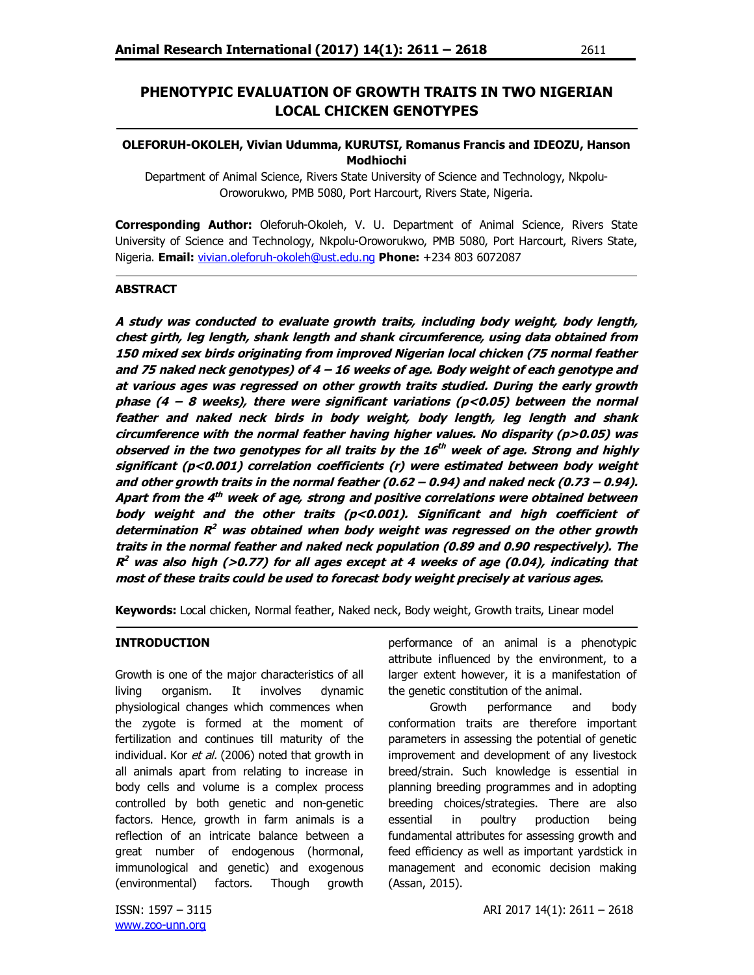# **PHENOTYPIC EVALUATION OF GROWTH TRAITS IN TWO NIGERIAN LOCAL CHICKEN GENOTYPES**

# **OLEFORUH-OKOLEH, Vivian Udumma, KURUTSI, Romanus Francis and IDEOZU, Hanson Modhiochi**

Department of Animal Science, Rivers State University of Science and Technology, Nkpolu-Oroworukwo, PMB 5080, Port Harcourt, Rivers State, Nigeria.

**Corresponding Author:** Oleforuh-Okoleh, V. U. Department of Animal Science, Rivers State University of Science and Technology, Nkpolu-Oroworukwo, PMB 5080, Port Harcourt, Rivers State, Nigeria. **Email:** vivian.oleforuh-okoleh@ust.edu.ng **Phone:** +234 803 6072087

#### **ABSTRACT**

**A study was conducted to evaluate growth traits, including body weight, body length, chest girth, leg length, shank length and shank circumference, using data obtained from 150 mixed sex birds originating from improved Nigerian local chicken (75 normal feather and 75 naked neck genotypes) of 4 – 16 weeks of age. Body weight of each genotype and at various ages was regressed on other growth traits studied. During the early growth phase (4 – 8 weeks), there were significant variations (p<0.05) between the normal feather and naked neck birds in body weight, body length, leg length and shank circumference with the normal feather having higher values. No disparity (p>0.05) was observed in the two genotypes for all traits by the 16 th week of age. Strong and highly significant (p<0.001) correlation coefficients (r) were estimated between body weight and other growth traits in the normal feather (0.62 – 0.94) and naked neck (0.73 – 0.94).**  Apart from the 4<sup>th</sup> week of age, strong and positive correlations were obtained between **body weight and the other traits (p<0.001). Significant and high coefficient of determination R <sup>2</sup> was obtained when body weight was regressed on the other growth traits in the normal feather and naked neck population (0.89 and 0.90 respectively). The R <sup>2</sup> was also high (>0.77) for all ages except at 4 weeks of age (0.04), indicating that most of these traits could be used to forecast body weight precisely at various ages.** 

**Keywords:** Local chicken, Normal feather, Naked neck, Body weight, Growth traits, Linear model

### **INTRODUCTION**

Growth is one of the major characteristics of all living organism. It involves dynamic physiological changes which commences when the zygote is formed at the moment of fertilization and continues till maturity of the individual. Kor et al. (2006) noted that growth in all animals apart from relating to increase in body cells and volume is a complex process controlled by both genetic and non-genetic factors. Hence, growth in farm animals is a reflection of an intricate balance between a great number of endogenous (hormonal, immunological and genetic) and exogenous (environmental) factors. Though growth

www.zoo-unn.org

performance of an animal is a phenotypic attribute influenced by the environment, to a larger extent however, it is a manifestation of the genetic constitution of the animal.

Growth performance and body conformation traits are therefore important parameters in assessing the potential of genetic improvement and development of any livestock breed/strain. Such knowledge is essential in planning breeding programmes and in adopting breeding choices/strategies. There are also essential in poultry production being fundamental attributes for assessing growth and feed efficiency as well as important yardstick in management and economic decision making (Assan, 2015).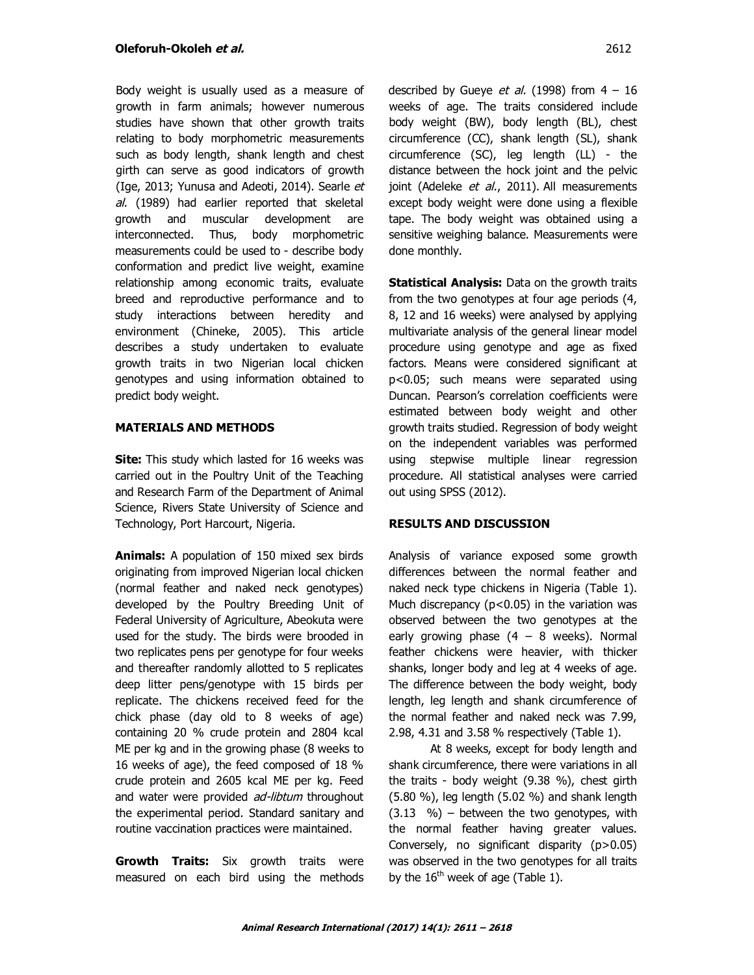Body weight is usually used as a measure of growth in farm animals; however numerous studies have shown that other growth traits relating to body morphometric measurements such as body length, shank length and chest girth can serve as good indicators of growth (Ige, 2013; Yunusa and Adeoti, 2014). Searle et al. (1989) had earlier reported that skeletal growth and muscular development are interconnected. Thus, body morphometric measurements could be used to - describe body conformation and predict live weight, examine relationship among economic traits, evaluate breed and reproductive performance and to study interactions between heredity and environment (Chineke, 2005). This article describes a study undertaken to evaluate growth traits in two Nigerian local chicken genotypes and using information obtained to predict body weight.

# **MATERIALS AND METHODS**

**Site:** This study which lasted for 16 weeks was carried out in the Poultry Unit of the Teaching and Research Farm of the Department of Animal Science, Rivers State University of Science and Technology, Port Harcourt, Nigeria.

**Animals:** A population of 150 mixed sex birds originating from improved Nigerian local chicken (normal feather and naked neck genotypes) developed by the Poultry Breeding Unit of Federal University of Agriculture, Abeokuta were used for the study. The birds were brooded in two replicates pens per genotype for four weeks and thereafter randomly allotted to 5 replicates deep litter pens/genotype with 15 birds per replicate. The chickens received feed for the chick phase (day old to 8 weeks of age) containing 20 % crude protein and 2804 kcal ME per kg and in the growing phase (8 weeks to 16 weeks of age), the feed composed of 18 % crude protein and 2605 kcal ME per kg. Feed and water were provided *ad-libtum* throughout the experimental period. Standard sanitary and routine vaccination practices were maintained.

**Growth Traits:** Six growth traits were measured on each bird using the methods described by Gueye *et al.* (1998) from  $4 - 16$ weeks of age. The traits considered include body weight (BW), body length (BL), chest circumference (CC), shank length (SL), shank circumference (SC), leg length (LL) - the distance between the hock joint and the pelvic joint (Adeleke et al., 2011). All measurements except body weight were done using a flexible tape. The body weight was obtained using a sensitive weighing balance. Measurements were done monthly.

**Statistical Analysis:** Data on the growth traits from the two genotypes at four age periods (4, 8, 12 and 16 weeks) were analysed by applying multivariate analysis of the general linear model procedure using genotype and age as fixed factors. Means were considered significant at p<0.05; such means were separated using Duncan. Pearson's correlation coefficients were estimated between body weight and other growth traits studied. Regression of body weight on the independent variables was performed using stepwise multiple linear regression procedure. All statistical analyses were carried out using SPSS (2012).

# **RESULTS AND DISCUSSION**

Analysis of variance exposed some growth differences between the normal feather and naked neck type chickens in Nigeria (Table 1). Much discrepancy ( $p<0.05$ ) in the variation was observed between the two genotypes at the early growing phase  $(4 - 8$  weeks). Normal feather chickens were heavier, with thicker shanks, longer body and leg at 4 weeks of age. The difference between the body weight, body length, leg length and shank circumference of the normal feather and naked neck was 7.99, 2.98, 4.31 and 3.58 % respectively (Table 1).

At 8 weeks, except for body length and shank circumference, there were variations in all the traits - body weight (9.38 %), chest girth (5.80 %), leg length (5.02 %) and shank length  $(3.13 \, \%$ ) - between the two genotypes, withthe normal feather having greater values. Conversely, no significant disparity (p>0.05) was observed in the two genotypes for all traits by the  $16<sup>th</sup>$  week of age (Table 1).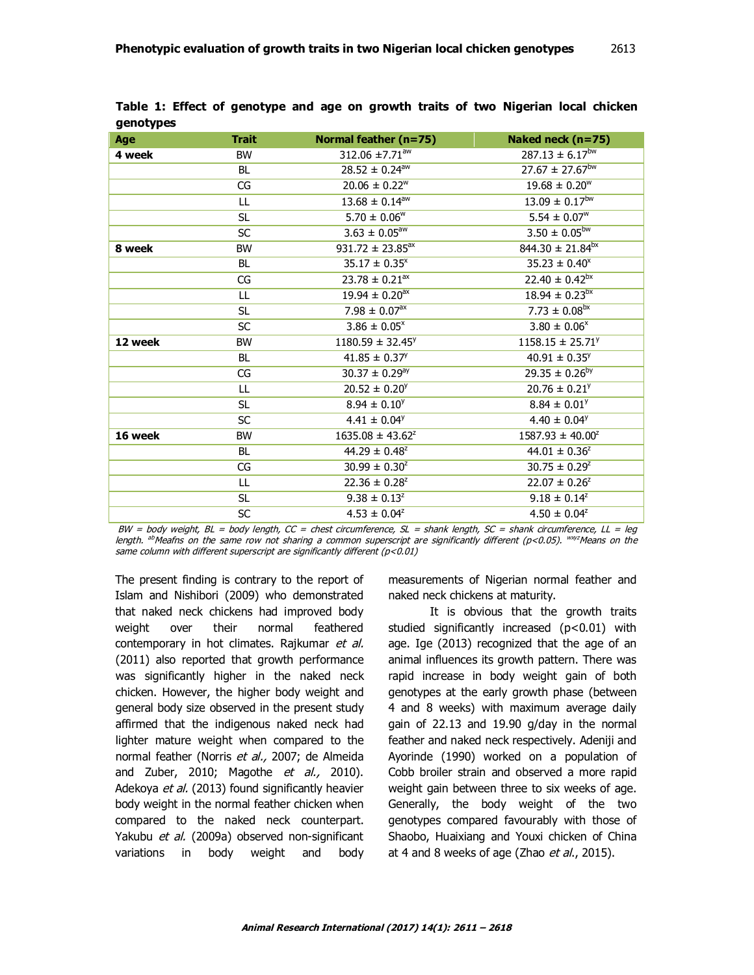| Age     | <b>Trait</b> | Normal feather (n=75)          | Naked neck (n=75)               |
|---------|--------------|--------------------------------|---------------------------------|
| 4 week  | <b>BW</b>    | 312.06 ±7.71 <sup>aw</sup>     | $287.13 \pm 6.17^{bw}$          |
|         | BL           | $28.52 \pm 0.24$ <sup>aw</sup> | $27.67 \pm 27.67$ <sup>bw</sup> |
|         | CG           | $20.06 \pm 0.22^w$             | $19.68 \pm 0.20^w$              |
|         | LL           | $13.68 \pm 0.14$ <sup>aw</sup> | $13.09 \pm 0.17^{bw}$           |
|         | <b>SL</b>    | $5.70 \pm 0.06^w$              | $5.54 \pm 0.07^w$               |
|         | <b>SC</b>    | $3.63 \pm 0.05^{\text{aw}}$    | $3.50 \pm 0.05^{bw}$            |
| 8 week  | <b>BW</b>    | $931.72 \pm 23.85^{\text{ax}}$ | $844.30 \pm 21.84^{bx}$         |
|         | BL.          | $35.17 \pm 0.35^x$             | $35.23 \pm 0.40^x$              |
|         | CG           | $23.78 \pm 0.21$ <sup>ax</sup> | $22.40 \pm 0.42^{bx}$           |
|         | LL           | $19.94 \pm 0.20$ <sup>ax</sup> | $18.94 \pm 0.23^{bx}$           |
|         | <b>SL</b>    | 7.98 $\pm$ 0.07 <sup>ax</sup>  | $7.73 \pm 0.08^{bx}$            |
|         | <b>SC</b>    | $3.86 \pm 0.05^x$              | $3.80 \pm 0.06^x$               |
| 12 week | <b>BW</b>    | $1180.59 \pm 32.45^{\circ}$    | $1158.15 \pm 25.71^{\circ}$     |
|         | <b>BL</b>    | $41.85 \pm 0.37^y$             | $40.91 \pm 0.35^y$              |
|         | CG           | $30.37 \pm 0.29$ <sup>ay</sup> | $29.35 \pm 0.26^{by}$           |
|         | LL           | $20.52 \pm 0.20^{\circ}$       | $20.76 \pm 0.21^{\circ}$        |
|         | <b>SL</b>    | $8.94 \pm 0.10^y$              | $8.84 \pm 0.01^y$               |
|         | <b>SC</b>    | $4.41 \pm 0.04^y$              | $4.40 \pm 0.04^{\circ}$         |
| 16 week | <b>BW</b>    | $1635.08 \pm 43.62^z$          | $1587.93 \pm 40.00^2$           |
|         | <b>BL</b>    | $44.29 \pm 0.48^z$             | $44.01 \pm 0.36^z$              |
|         | CG           | $30.99 \pm 0.30^{2}$           | $30.75 \pm 0.29^z$              |
|         | LL           | $22.36 \pm 0.28^z$             | $22.07 \pm 0.26^z$              |
|         | SL.          | $9.38 \pm 0.13^2$              | $9.18 \pm 0.14^2$               |
|         | <b>SC</b>    | $4.53 \pm 0.04^z$              | $4.50 \pm 0.04^z$               |

**Table 1: Effect of genotype and age on growth traits of two Nigerian local chicken genotypes**

BW = body weight, BL = body length, CC = chest circumference, SL = shank length, SC = shank circumference, LL = leg length. <sup>ab</sup>Meafns on the same row not sharing a common superscript are significantly different (p<0.05). <sup>wxyz</sup>Means on the same column with different superscript are significantly different ( $p$ <0.01)

The present finding is contrary to the report of Islam and Nishibori (2009) who demonstrated that naked neck chickens had improved body weight over their normal feathered contemporary in hot climates. Rajkumar et al. (2011) also reported that growth performance was significantly higher in the naked neck chicken. However, the higher body weight and general body size observed in the present study affirmed that the indigenous naked neck had lighter mature weight when compared to the normal feather (Norris et al., 2007; de Almeida and Zuber, 2010; Magothe et al., 2010). Adekoya *et al.* (2013) found significantly heavier body weight in the normal feather chicken when compared to the naked neck counterpart. Yakubu et al. (2009a) observed non-significant variations in body weight and body

measurements of Nigerian normal feather and naked neck chickens at maturity.

It is obvious that the growth traits studied significantly increased (p<0.01) with age. Ige (2013) recognized that the age of an animal influences its growth pattern. There was rapid increase in body weight gain of both genotypes at the early growth phase (between 4 and 8 weeks) with maximum average daily gain of 22.13 and 19.90 g/day in the normal feather and naked neck respectively. Adeniji and Ayorinde (1990) worked on a population of Cobb broiler strain and observed a more rapid weight gain between three to six weeks of age. Generally, the body weight of the two genotypes compared favourably with those of Shaobo, Huaixiang and Youxi chicken of China at 4 and 8 weeks of age (Zhao et al., 2015).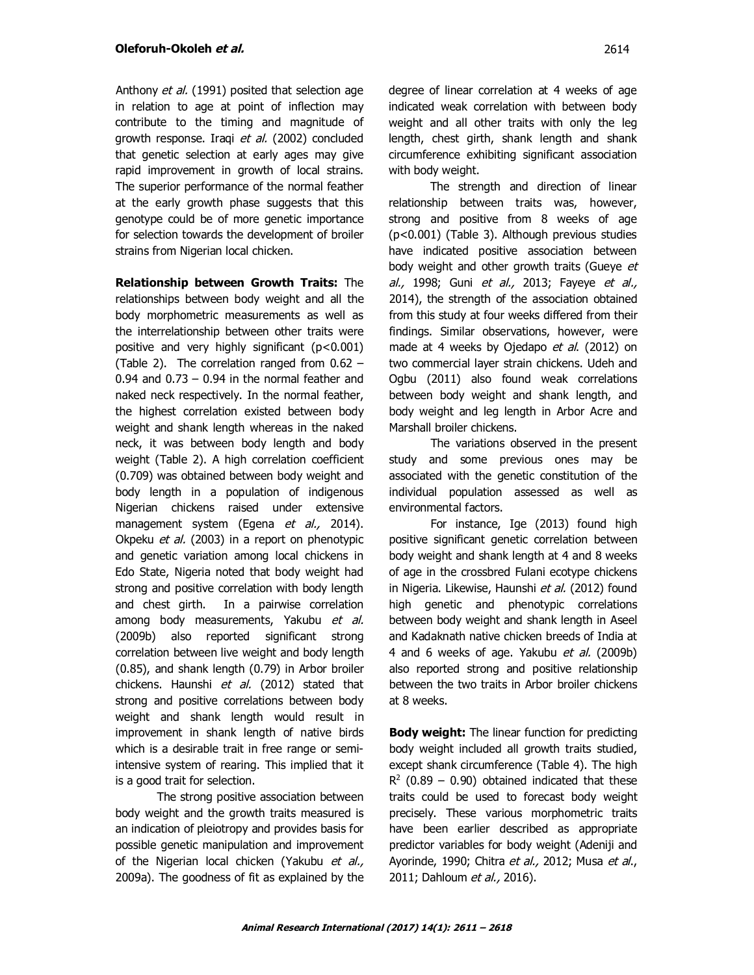Anthony et al. (1991) posited that selection age in relation to age at point of inflection may contribute to the timing and magnitude of growth response. Iraqi et al. (2002) concluded that genetic selection at early ages may give rapid improvement in growth of local strains. The superior performance of the normal feather at the early growth phase suggests that this genotype could be of more genetic importance for selection towards the development of broiler strains from Nigerian local chicken.

**Relationship between Growth Traits:** The relationships between body weight and all the body morphometric measurements as well as the interrelationship between other traits were positive and very highly significant (p<0.001) (Table 2). The correlation ranged from 0.62 –  $0.94$  and  $0.73 - 0.94$  in the normal feather and naked neck respectively. In the normal feather, the highest correlation existed between body weight and shank length whereas in the naked neck, it was between body length and body weight (Table 2). A high correlation coefficient (0.709) was obtained between body weight and body length in a population of indigenous Nigerian chickens raised under extensive management system (Egena et al., 2014). Okpeku et al. (2003) in a report on phenotypic and genetic variation among local chickens in Edo State, Nigeria noted that body weight had strong and positive correlation with body length and chest girth. In a pairwise correlation among body measurements, Yakubu et al. (2009b) also reported significant strong correlation between live weight and body length (0.85), and shank length (0.79) in Arbor broiler chickens. Haunshi et al. (2012) stated that strong and positive correlations between body weight and shank length would result in improvement in shank length of native birds which is a desirable trait in free range or semiintensive system of rearing. This implied that it is a good trait for selection.

The strong positive association between body weight and the growth traits measured is an indication of pleiotropy and provides basis for possible genetic manipulation and improvement of the Nigerian local chicken (Yakubu et al., 2009a). The goodness of fit as explained by the degree of linear correlation at 4 weeks of age indicated weak correlation with between body weight and all other traits with only the leg length, chest girth, shank length and shank circumference exhibiting significant association with body weight.

The strength and direction of linear relationship between traits was, however, strong and positive from 8 weeks of age (p<0.001) (Table 3). Although previous studies have indicated positive association between body weight and other growth traits (Gueye et al., 1998; Guni et al., 2013; Fayeye et al., 2014), the strength of the association obtained from this study at four weeks differed from their findings. Similar observations, however, were made at 4 weeks by Ojedapo *et al.* (2012) on two commercial layer strain chickens. Udeh and Ogbu (2011) also found weak correlations between body weight and shank length, and body weight and leg length in Arbor Acre and Marshall broiler chickens.

The variations observed in the present study and some previous ones may be associated with the genetic constitution of the individual population assessed as well as environmental factors.

For instance, Ige (2013) found high positive significant genetic correlation between body weight and shank length at 4 and 8 weeks of age in the crossbred Fulani ecotype chickens in Nigeria. Likewise, Haunshi et al. (2012) found high genetic and phenotypic correlations between body weight and shank length in Aseel and Kadaknath native chicken breeds of India at 4 and 6 weeks of age. Yakubu *et al.* (2009b) also reported strong and positive relationship between the two traits in Arbor broiler chickens at 8 weeks.

**Body weight:** The linear function for predicting body weight included all growth traits studied, except shank circumference (Table 4). The high  $R<sup>2</sup>$  (0.89 – 0.90) obtained indicated that these traits could be used to forecast body weight precisely. These various morphometric traits have been earlier described as appropriate predictor variables for body weight (Adeniji and Ayorinde, 1990; Chitra et al., 2012; Musa et al., 2011; Dahloum et al., 2016).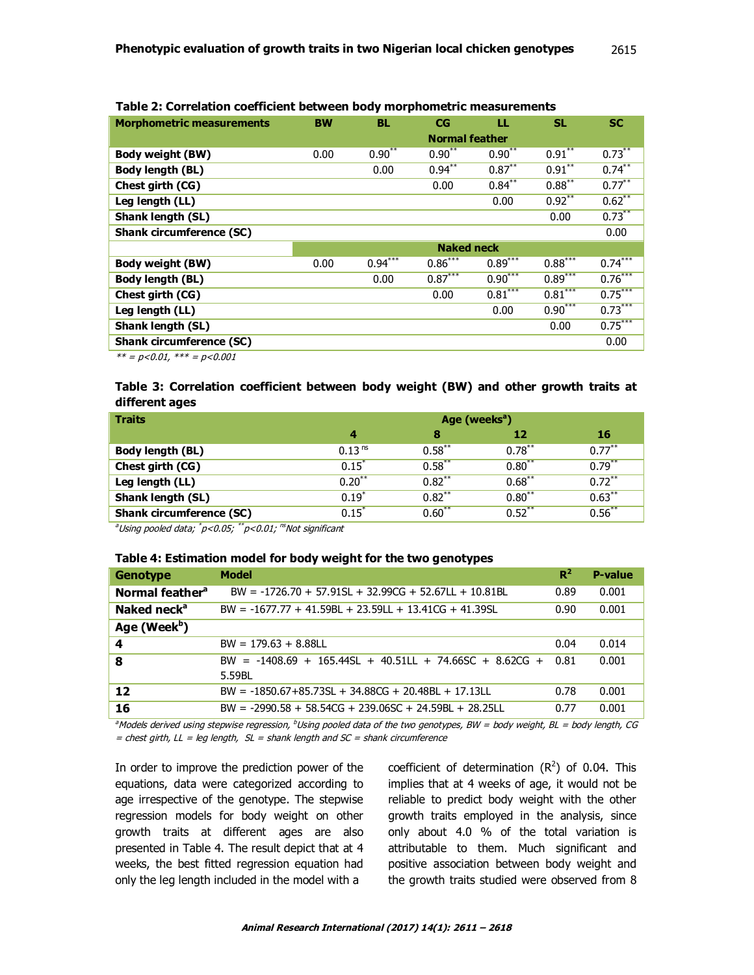| <b>Morphometric measurements</b> | <b>BW</b>             | <b>BL</b>         | <b>CG</b> | ш         | <b>SL</b> | <b>SC</b> |
|----------------------------------|-----------------------|-------------------|-----------|-----------|-----------|-----------|
|                                  |                       |                   |           |           |           |           |
|                                  | <b>Normal feather</b> |                   |           |           |           |           |
| <b>Body weight (BW)</b>          | 0.00                  | $0.90***$         | $0.90***$ | $0.90***$ | $0.91***$ | $0.73***$ |
| <b>Body length (BL)</b>          |                       | 0.00              | $0.94***$ | $0.87***$ | $0.91***$ | $0.74***$ |
| Chest girth (CG)                 |                       |                   | 0.00      | $0.84***$ | $0.88***$ | $0.77***$ |
| Leg length (LL)                  |                       |                   |           | 0.00      | $0.92***$ | $0.62***$ |
| Shank length (SL)                |                       |                   |           |           | 0.00      | $0.73***$ |
| <b>Shank circumference (SC)</b>  |                       |                   |           |           |           | 0.00      |
|                                  |                       | <b>Naked neck</b> |           |           |           |           |
| <b>Body weight (BW)</b>          | 0.00                  | $0.94***$         | $0.86***$ | $0.89***$ | $0.88***$ | $0.74***$ |
| <b>Body length (BL)</b>          |                       | 0.00              | $0.87***$ | $0.90***$ | $0.89***$ | $0.76***$ |
| Chest girth (CG)                 |                       |                   | 0.00      | $0.81***$ | $0.81***$ | $0.75***$ |
| Leg length (LL)                  |                       |                   |           | 0.00      | $0.90***$ | $0.73***$ |
| <b>Shank length (SL)</b>         |                       |                   |           |           | 0.00      | $0.75***$ |
| <b>Shank circumference (SC)</b>  |                       |                   |           |           |           | 0.00      |

**Table 2: Correlation coefficient between body morphometric measurements**

 $*** = p < 0.01$ ,  $*** = p < 0.001$ 

# **Table 3: Correlation coefficient between body weight (BW) and other growth traits at different ages**

| <b>Traits</b>                   | Age (weeks <sup>a</sup> ) |           |           |           |
|---------------------------------|---------------------------|-----------|-----------|-----------|
|                                 | 4                         | 8         | 12        | 16        |
| Body length (BL)                | 0.13 <sup>ns</sup>        | $0.58***$ | $0.78***$ | $0.77***$ |
| Chest girth (CG)                | $0.15^*$                  | $0.58***$ | $0.80***$ | $0.79***$ |
| Leg length (LL)                 | $0.20***$                 | $0.82***$ | $0.68***$ | $0.72***$ |
| Shank length (SL)               | $0.19*$                   | $0.82***$ | $0.80***$ | $0.63***$ |
| <b>Shank circumference (SC)</b> | $0.15*$                   | $0.60***$ | $0.52***$ | $0.56***$ |

<sup>a</sup>Using pooled data; \*p<0.05; \*\*p<0.01; <sup>ns</sup>Not significant

#### **Table 4: Estimation model for body weight for the two genotypes**

| <b>Genotype</b>             | <b>Model</b>                                                        | $R^2$ | <b>P-value</b> |
|-----------------------------|---------------------------------------------------------------------|-------|----------------|
| Normal feather <sup>a</sup> | $BW = -1726.70 + 57.91SL + 32.99CG + 52.67LL + 10.81BL$             | 0.89  | 0.001          |
| Naked neck <sup>a</sup>     | $BW = -1677.77 + 41.59BL + 23.59LL + 13.41CG + 41.39SL$             | 0.90  | 0.001          |
| Age (Week <sup>b</sup> )    |                                                                     |       |                |
| 4                           | $BW = 179.63 + 8.88LL$                                              | 0.04  | 0.014          |
| 8                           | BW = $-1408.69 + 165.44SL + 40.51LL + 74.66SC + 8.62CG +$<br>5.59BL | 0.81  | 0.001          |
| 12                          | $BW = -1850.67 + 85.73SL + 34.88CG + 20.48BL + 17.13LL$             | 0.78  | 0.001          |
| 16                          | $BW = -2990.58 + 58.54CG + 239.06SC + 24.59BL + 28.25LL$            | 0.77  | 0.001          |

<sup>a</sup>Models derived using stepwise regression,  $^b$ Using pooled data of the two genotypes, BW = body weight, BL = body length, CG = chest girth,  $LL = leg$  length,  $SL =$  shank length and  $SC =$  shank circumference

In order to improve the prediction power of the equations, data were categorized according to age irrespective of the genotype. The stepwise regression models for body weight on other growth traits at different ages are also presented in Table 4. The result depict that at 4 weeks, the best fitted regression equation had only the leg length included in the model with a

coefficient of determination  $(R^2)$  of 0.04. This implies that at 4 weeks of age, it would not be reliable to predict body weight with the other growth traits employed in the analysis, since only about 4.0 % of the total variation is attributable to them. Much significant and positive association between body weight and the growth traits studied were observed from 8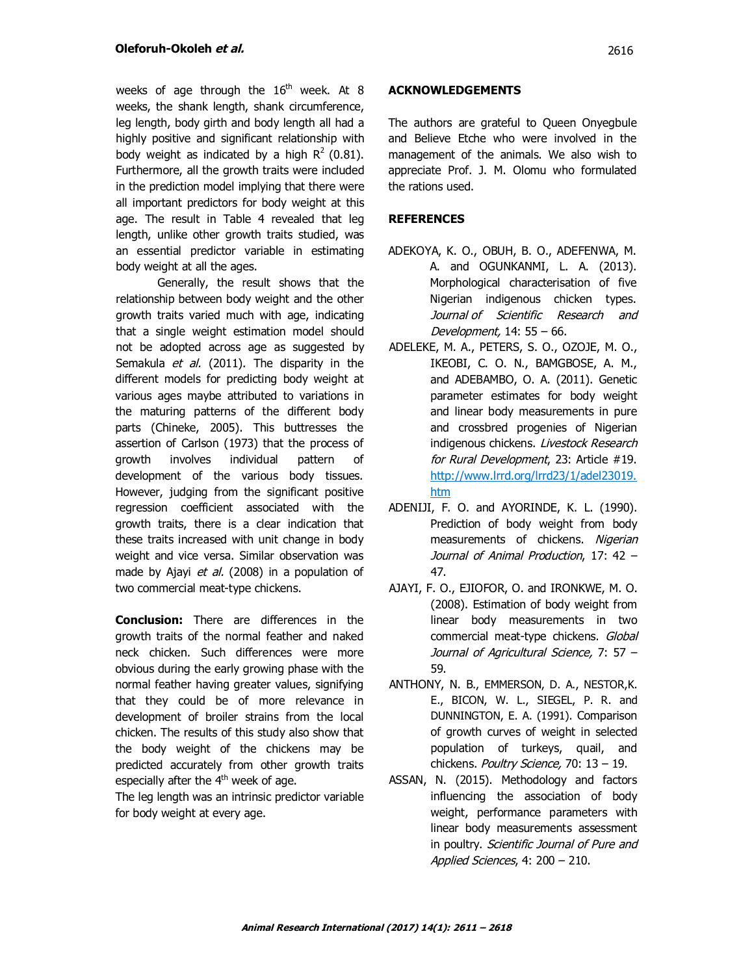weeks of age through the  $16<sup>th</sup>$  week. At 8 weeks, the shank length, shank circumference, leg length, body girth and body length all had a highly positive and significant relationship with body weight as indicated by a high  $R^2$  (0.81). Furthermore, all the growth traits were included in the prediction model implying that there were all important predictors for body weight at this age. The result in Table 4 revealed that leg length, unlike other growth traits studied, was an essential predictor variable in estimating body weight at all the ages.

Generally, the result shows that the relationship between body weight and the other growth traits varied much with age, indicating that a single weight estimation model should not be adopted across age as suggested by Semakula et al. (2011). The disparity in the different models for predicting body weight at various ages maybe attributed to variations in the maturing patterns of the different body parts (Chineke, 2005). This buttresses the assertion of Carlson (1973) that the process of growth involves individual pattern of development of the various body tissues. However, judging from the significant positive regression coefficient associated with the growth traits, there is a clear indication that these traits increased with unit change in body weight and vice versa. Similar observation was made by Ajayi et al. (2008) in a population of two commercial meat-type chickens.

**Conclusion:** There are differences in the growth traits of the normal feather and naked neck chicken. Such differences were more obvious during the early growing phase with the normal feather having greater values, signifying that they could be of more relevance in development of broiler strains from the local chicken. The results of this study also show that the body weight of the chickens may be predicted accurately from other growth traits especially after the  $4<sup>th</sup>$  week of age.

The leg length was an intrinsic predictor variable for body weight at every age.

# **ACKNOWLEDGEMENTS**

The authors are grateful to Queen Onyegbule and Believe Etche who were involved in the management of the animals. We also wish to appreciate Prof. J. M. Olomu who formulated the rations used.

# **REFERENCES**

- ADEKOYA, K. O., OBUH, B. O., ADEFENWA, M. A. and OGUNKANMI, L. A. (2013). Morphological characterisation of five Nigerian indigenous chicken types. Journal of Scientific Research and Development, 14: 55 – 66.
- ADELEKE, M. A., PETERS, S. O., OZOJE, M. O., IKEOBI, C. O. N., BAMGBOSE, A. M., and ADEBAMBO, O. A. (2011). Genetic parameter estimates for body weight and linear body measurements in pure and crossbred progenies of Nigerian indigenous chickens. Livestock Research for Rural Development, 23: Article #19. http://www.lrrd.org/lrrd23/1/adel23019. htm
- ADENIJI, F. O. and AYORINDE, K. L. (1990). Prediction of body weight from body measurements of chickens. Nigerian Journal of Animal Production, 17: 42 – 47.
- AJAYI, F. O., EJIOFOR, O. and IRONKWE, M. O. (2008). Estimation of body weight from linear body measurements in two commercial meat-type chickens. Global Journal of Agricultural Science, 7: 57 – 59.
- ANTHONY, N. B., EMMERSON, D. A., NESTOR,K. E., BICON, W. L., SIEGEL, P. R. and DUNNINGTON, E. A. (1991). Comparison of growth curves of weight in selected population of turkeys, quail, and chickens. Poultry Science, 70: 13 - 19.
- ASSAN, N. (2015). Methodology and factors influencing the association of body weight, performance parameters with linear body measurements assessment in poultry. Scientific Journal of Pure and Applied Sciences, 4: 200 - 210.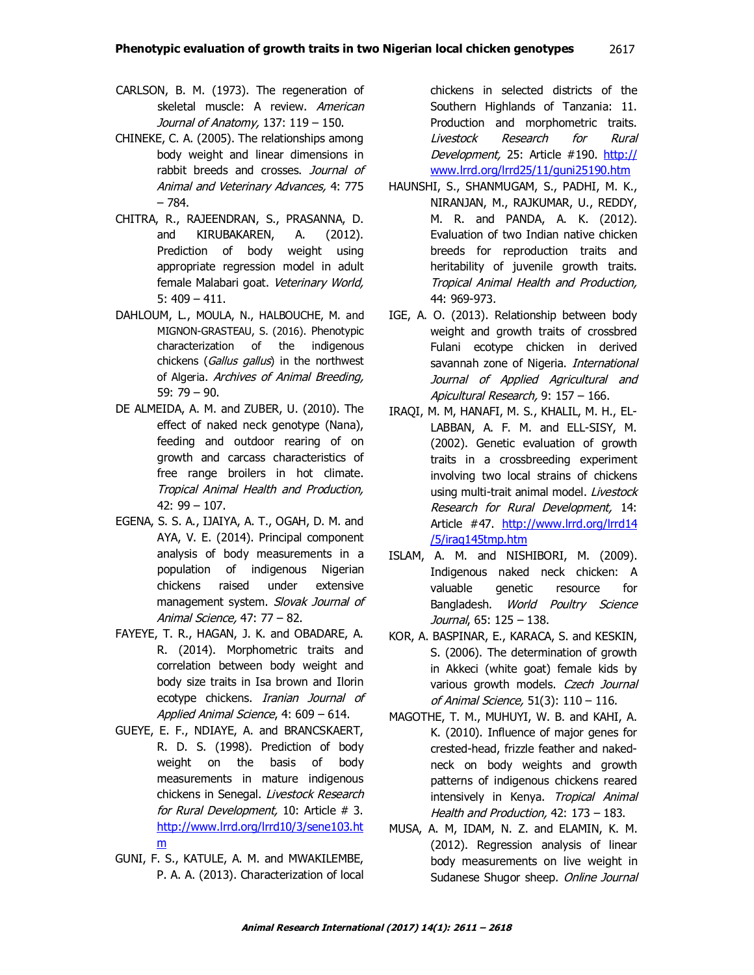- CARLSON, B. M. (1973). The regeneration of skeletal muscle: A review. American Journal of Anatomy, 137: 119 – 150.
- CHINEKE, C. A. (2005). The relationships among body weight and linear dimensions in rabbit breeds and crosses. Journal of Animal and Veterinary Advances, 4: 775 – 784.
- CHITRA, R., RAJEENDRAN, S., PRASANNA, D. and KIRUBAKAREN, A. (2012). Prediction of body weight using appropriate regression model in adult female Malabari goat. Veterinary World, 5: 409 – 411.
- DAHLOUM, L., MOULA, N., HALBOUCHE, M. and MIGNON-GRASTEAU, S. (2016). Phenotypic characterization of the indigenous chickens (Gallus gallus) in the northwest of Algeria. Archives of Animal Breeding, 59: 79 – 90.
- DE ALMEIDA, A. M. and ZUBER, U. (2010). The effect of naked neck genotype (Nana), feeding and outdoor rearing of on growth and carcass characteristics of free range broilers in hot climate. Tropical Animal Health and Production, 42: 99 – 107.
- EGENA, S. S. A., IJAIYA, A. T., OGAH, D. M. and AYA, V. E. (2014). Principal component analysis of body measurements in a population of indigenous Nigerian chickens raised under extensive management system. Slovak Journal of Animal Science, 47: 77 – 82.
- FAYEYE, T. R., HAGAN, J. K. and OBADARE, A. R. (2014). Morphometric traits and correlation between body weight and body size traits in Isa brown and Ilorin ecotype chickens. Iranian Journal of Applied Animal Science, 4: 609 – 614.
- GUEYE, E. F., NDIAYE, A. and BRANCSKAERT, R. D. S. (1998). Prediction of body weight on the basis of body measurements in mature indigenous chickens in Senegal. Livestock Research for Rural Development, 10: Article # 3. http://www.lrrd.org/lrrd10/3/sene103.ht m
- GUNI, F. S., KATULE, A. M. and MWAKILEMBE, P. A. A. (2013). Characterization of local

chickens in selected districts of the Southern Highlands of Tanzania: 11. Production and morphometric traits. Livestock Research for Rural Development, 25: Article #190. http:// www.lrrd.org/lrrd25/11/guni25190.htm

- HAUNSHI, S., SHANMUGAM, S., PADHI, M. K., NIRANJAN, M., RAJKUMAR, U., REDDY, M. R. and PANDA, A. K. (2012). Evaluation of two Indian native chicken breeds for reproduction traits and heritability of juvenile growth traits. Tropical Animal Health and Production, 44: 969-973.
- IGE, A. O. (2013). Relationship between body weight and growth traits of crossbred Fulani ecotype chicken in derived savannah zone of Nigeria. International Journal of Applied Agricultural and Apicultural Research, 9: 157 – 166.
- IRAQI, M. M, HANAFI, M. S., KHALIL, M. H., EL-LABBAN, A. F. M. and ELL-SISY, M. (2002). Genetic evaluation of growth traits in a crossbreeding experiment involving two local strains of chickens using multi-trait animal model. Livestock Research for Rural Development, 14: Article #47. http://www.lrrd.org/lrrd14 /5/iraq145tmp.htm
- ISLAM, A. M. and NISHIBORI, M. (2009). Indigenous naked neck chicken: A valuable genetic resource for Bangladesh. World Poultry Science Journal, 65: 125 – 138.
- KOR, A. BASPINAR, E., KARACA, S. and KESKIN, S. (2006). The determination of growth in Akkeci (white goat) female kids by various growth models. Czech Journal of Animal Science, 51(3): 110 – 116.
- MAGOTHE, T. M., MUHUYI, W. B. and KAHI, A. K. (2010). Influence of major genes for crested-head, frizzle feather and nakedneck on body weights and growth patterns of indigenous chickens reared intensively in Kenya. Tropical Animal Health and Production, 42: 173 – 183.
- MUSA, A. M, IDAM, N. Z. and ELAMIN, K. M. (2012). Regression analysis of linear body measurements on live weight in Sudanese Shugor sheep. Online Journal